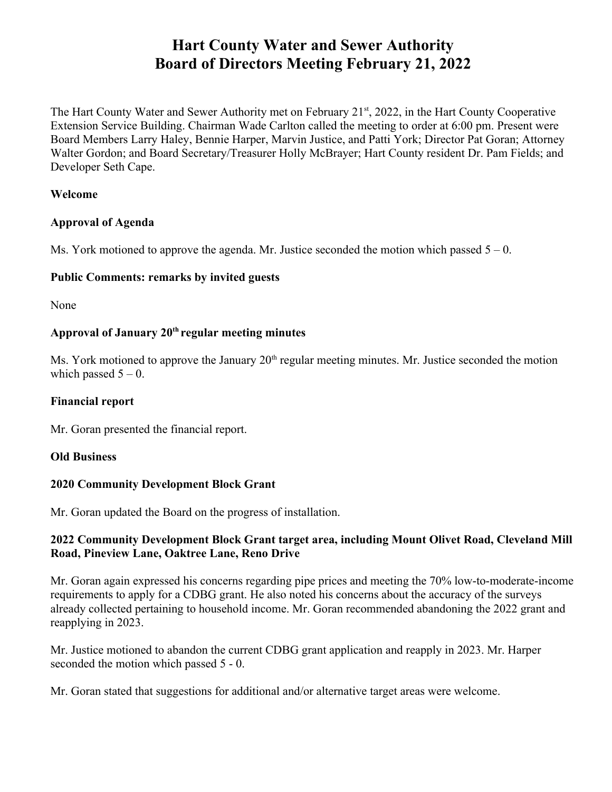# **Hart County Water and Sewer Authority Board of Directors Meeting February 21, 2022**

The Hart County Water and Sewer Authority met on February 21<sup>st</sup>, 2022, in the Hart County Cooperative Extension Service Building. Chairman Wade Carlton called the meeting to order at 6:00 pm. Present were Board Members Larry Haley, Bennie Harper, Marvin Justice, and Patti York; Director Pat Goran; Attorney Walter Gordon; and Board Secretary/Treasurer Holly McBrayer; Hart County resident Dr. Pam Fields; and Developer Seth Cape.

#### **Welcome**

## **Approval of Agenda**

Ms. York motioned to approve the agenda. Mr. Justice seconded the motion which passed  $5 - 0$ .

# **Public Comments: remarks by invited guests**

None

# **Approval of January 20th regular meeting minutes**

Ms. York motioned to approve the January  $20<sup>th</sup>$  regular meeting minutes. Mr. Justice seconded the motion which passed  $5 - 0$ .

# **Financial report**

Mr. Goran presented the financial report.

## **Old Business**

# **2020 Community Development Block Grant**

Mr. Goran updated the Board on the progress of installation.

## **2022 Community Development Block Grant target area, including Mount Olivet Road, Cleveland Mill Road, Pineview Lane, Oaktree Lane, Reno Drive**

Mr. Goran again expressed his concerns regarding pipe prices and meeting the 70% low-to-moderate-income requirements to apply for a CDBG grant. He also noted his concerns about the accuracy of the surveys already collected pertaining to household income. Mr. Goran recommended abandoning the 2022 grant and reapplying in 2023.

Mr. Justice motioned to abandon the current CDBG grant application and reapply in 2023. Mr. Harper seconded the motion which passed 5 - 0.

Mr. Goran stated that suggestions for additional and/or alternative target areas were welcome.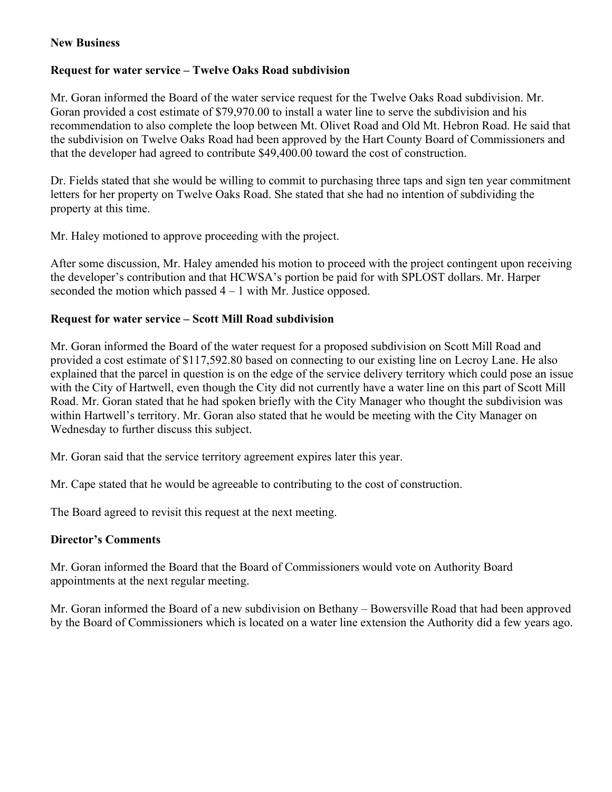#### **New Business**

#### **Request for water service – Twelve Oaks Road subdivision**

Mr. Goran informed the Board of the water service request for the Twelve Oaks Road subdivision. Mr. Goran provided a cost estimate of \$79,970.00 to install a water line to serve the subdivision and his recommendation to also complete the loop between Mt. Olivet Road and Old Mt. Hebron Road. He said that the subdivision on Twelve Oaks Road had been approved by the Hart County Board of Commissioners and that the developer had agreed to contribute \$49,400.00 toward the cost of construction.

Dr. Fields stated that she would be willing to commit to purchasing three taps and sign ten year commitment letters for her property on Twelve Oaks Road. She stated that she had no intention of subdividing the property at this time.

Mr. Haley motioned to approve proceeding with the project.

After some discussion, Mr. Haley amended his motion to proceed with the project contingent upon receiving the developer's contribution and that HCWSA's portion be paid for with SPLOST dollars. Mr. Harper seconded the motion which passed  $4 - 1$  with Mr. Justice opposed.

### **Request for water service – Scott Mill Road subdivision**

Mr. Goran informed the Board of the water request for a proposed subdivision on Scott Mill Road and provided a cost estimate of \$117,592.80 based on connecting to our existing line on Lecroy Lane. He also explained that the parcel in question is on the edge of the service delivery territory which could pose an issue with the City of Hartwell, even though the City did not currently have a water line on this part of Scott Mill Road. Mr. Goran stated that he had spoken briefly with the City Manager who thought the subdivision was within Hartwell's territory. Mr. Goran also stated that he would be meeting with the City Manager on Wednesday to further discuss this subject.

Mr. Goran said that the service territory agreement expires later this year.

Mr. Cape stated that he would be agreeable to contributing to the cost of construction.

The Board agreed to revisit this request at the next meeting.

#### **Director's Comments**

Mr. Goran informed the Board that the Board of Commissioners would vote on Authority Board appointments at the next regular meeting.

Mr. Goran informed the Board of a new subdivision on Bethany – Bowersville Road that had been approved by the Board of Commissioners which is located on a water line extension the Authority did a few years ago.